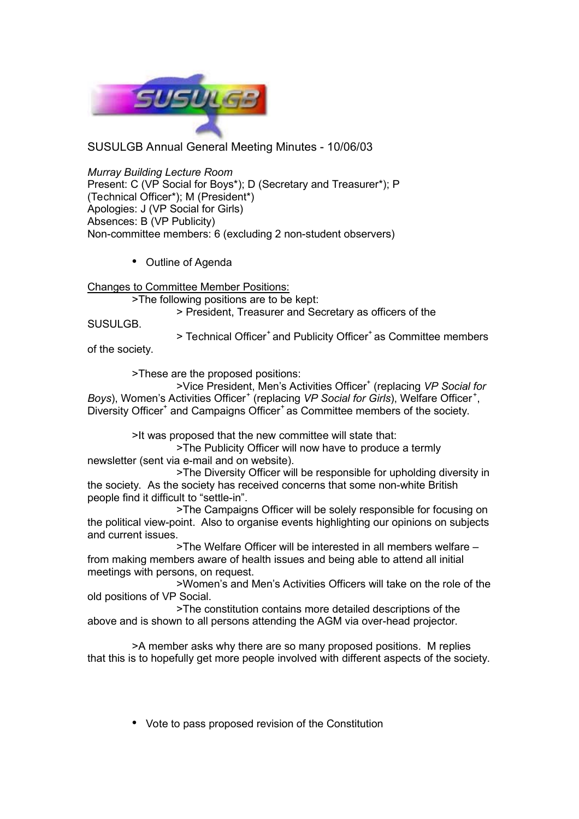

SUSULGB Annual General Meeting Minutes - 10/06/03

*Murray Building Lecture Room* Present: C (VP Social for Boys\*); D (Secretary and Treasurer\*); P (Technical Officer\*); M (President\*) Apologies: J (VP Social for Girls) Absences: B (VP Publicity) Non-committee members: 6 (excluding 2 non-student observers)

• Outline of Agenda

Changes to Committee Member Positions:

>The following positions are to be kept:

> President, Treasurer and Secretary as officers of the

SUSULGB.

> Technical Officer<sup>+</sup> and Publicity Officer<sup>+</sup> as Committee members of the society.

>These are the proposed positions:

>Vice President, Men's Activities Officer<sup>+</sup> (replacing VP Social for Boys), Women's Activities Officer<sup>+</sup> (replacing VP Social for Girls), Welfare Officer<sup>+</sup>, Diversity Officer<sup>+</sup> and Campaigns Officer<sup>+</sup> as Committee members of the society.

>It was proposed that the new committee will state that:

>The Publicity Officer will now have to produce a termly newsletter (sent via e-mail and on website).

>The Diversity Officer will be responsible for upholding diversity in the society. As the society has received concerns that some non-white British people find it difficult to "settle-in".

>The Campaigns Officer will be solely responsible for focusing on the political view-point. Also to organise events highlighting our opinions on subjects and current issues.

>The Welfare Officer will be interested in all members welfare – from making members aware of health issues and being able to attend all initial meetings with persons, on request.

>Women's and Men's Activities Officers will take on the role of the old positions of VP Social.

>The constitution contains more detailed descriptions of the above and is shown to all persons attending the AGM via over-head projector.

>A member asks why there are so many proposed positions. M replies that this is to hopefully get more people involved with different aspects of the society.

• Vote to pass proposed revision of the Constitution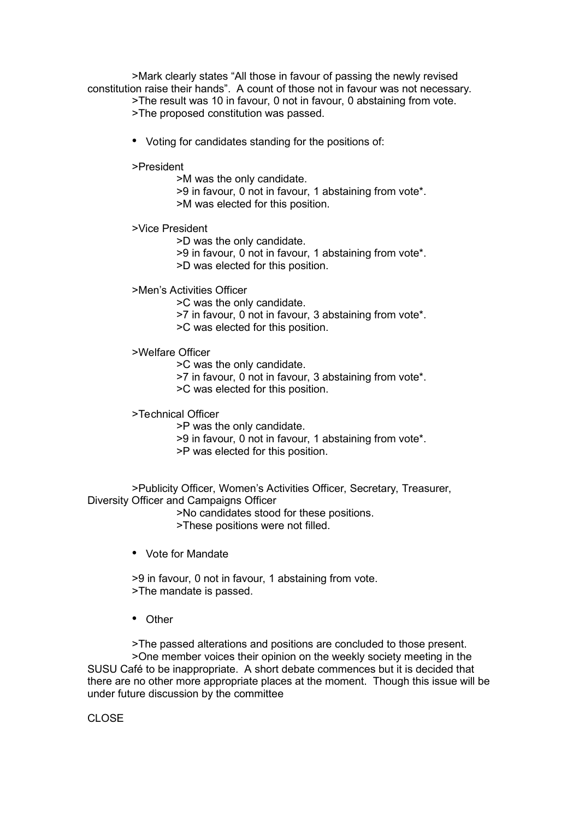>Mark clearly states "All those in favour of passing the newly revised constitution raise their hands". A count of those not in favour was not necessary.

>The result was 10 in favour, 0 not in favour, 0 abstaining from vote.

>The proposed constitution was passed.

• Voting for candidates standing for the positions of:

>President

>M was the only candidate.

- >9 in favour, 0 not in favour, 1 abstaining from vote\*. >M was elected for this position.
- >Vice President

>D was the only candidate.

>9 in favour, 0 not in favour, 1 abstaining from vote\*.

>D was elected for this position.

>Men's Activities Officer

>C was the only candidate.

>7 in favour, 0 not in favour, 3 abstaining from vote\*.

>C was elected for this position.

>Welfare Officer

>C was the only candidate.

>7 in favour, 0 not in favour, 3 abstaining from vote\*.

>C was elected for this position.

>Technical Officer

- >P was the only candidate.
- >9 in favour, 0 not in favour, 1 abstaining from vote\*.
- >P was elected for this position.

>Publicity Officer, Women's Activities Officer, Secretary, Treasurer, Diversity Officer and Campaigns Officer

>No candidates stood for these positions.

>These positions were not filled.

• Vote for Mandate

>9 in favour, 0 not in favour, 1 abstaining from vote. >The mandate is passed.

• Other

>The passed alterations and positions are concluded to those present. >One member voices their opinion on the weekly society meeting in the SUSU Café to be inappropriate. A short debate commences but it is decided that there are no other more appropriate places at the moment. Though this issue will be under future discussion by the committee

CLOSE